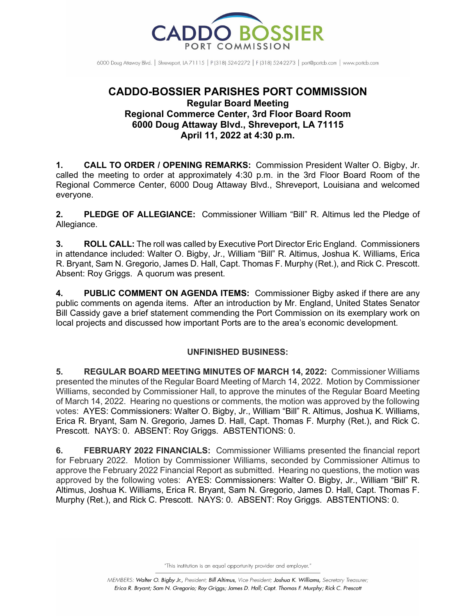

6000 Doug Attaway Blvd. | Shreveport, IA 71115 | P (318) 524-2272 | F (318) 524-2273 | port@portcb.com | www.portcb.com

## **CADDO-BOSSIER PARISHES PORT COMMISSION Regular Board Meeting Regional Commerce Center, 3rd Floor Board Room 6000 Doug Attaway Blvd., Shreveport, LA 71115 April 11, 2022 at 4:30 p.m.**

**1. CALL TO ORDER / OPENING REMARKS:** Commission President Walter O. Bigby, Jr. called the meeting to order at approximately 4:30 p.m. in the 3rd Floor Board Room of the Regional Commerce Center, 6000 Doug Attaway Blvd., Shreveport, Louisiana and welcomed everyone.

**2. PLEDGE OF ALLEGIANCE:** Commissioner William "Bill" R. Altimus led the Pledge of Allegiance.

**3. ROLL CALL:** The roll was called by Executive Port Director Eric England. Commissioners in attendance included: Walter O. Bigby, Jr., William "Bill" R. Altimus, Joshua K. Williams, Erica R. Bryant, Sam N. Gregorio, James D. Hall, Capt. Thomas F. Murphy (Ret.), and Rick C. Prescott. Absent: Roy Griggs. A quorum was present.

**4. PUBLIC COMMENT ON AGENDA ITEMS:** Commissioner Bigby asked if there are any public comments on agenda items. After an introduction by Mr. England, United States Senator Bill Cassidy gave a brief statement commending the Port Commission on its exemplary work on local projects and discussed how important Ports are to the area's economic development.

## **UNFINISHED BUSINESS:**

**5. REGULAR BOARD MEETING MINUTES OF MARCH 14, 2022:** Commissioner Williams presented the minutes of the Regular Board Meeting of March 14, 2022. Motion by Commissioner Williams, seconded by Commissioner Hall, to approve the minutes of the Regular Board Meeting of March 14, 2022. Hearing no questions or comments, the motion was approved by the following votes: AYES: Commissioners: Walter O. Bigby, Jr., William "Bill" R. Altimus, Joshua K. Williams, Erica R. Bryant, Sam N. Gregorio, James D. Hall, Capt. Thomas F. Murphy (Ret.), and Rick C. Prescott. NAYS: 0. ABSENT: Roy Griggs. ABSTENTIONS: 0.

**6. FEBRUARY 2022 FINANCIALS:** Commissioner Williams presented the financial report for February 2022. Motion by Commissioner Williams, seconded by Commissioner Altimus to approve the February 2022 Financial Report as submitted. Hearing no questions, the motion was approved by the following votes: AYES: Commissioners: Walter O. Bigby, Jr., William "Bill" R. Altimus, Joshua K. Williams, Erica R. Bryant, Sam N. Gregorio, James D. Hall, Capt. Thomas F. Murphy (Ret.), and Rick C. Prescott. NAYS: 0. ABSENT: Roy Griggs. ABSTENTIONS: 0.

"This institution is an equal opportunity provider and employer."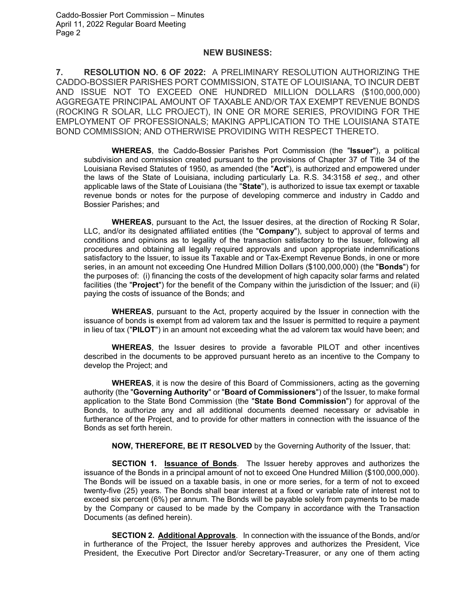## **NEW BUSINESS:**

**7. RESOLUTION NO. 6 OF 2022:** A PRELIMINARY RESOLUTION AUTHORIZING THE CADDO-BOSSIER PARISHES PORT COMMISSION, STATE OF LOUISIANA, TO INCUR DEBT AND ISSUE NOT TO EXCEED ONE HUNDRED MILLION DOLLARS (\$100,000,000) AGGREGATE PRINCIPAL AMOUNT OF TAXABLE AND/OR TAX EXEMPT REVENUE BONDS (ROCKING R SOLAR, LLC PROJECT), IN ONE OR MORE SERIES, PROVIDING FOR THE EMPLOYMENT OF PROFESSIONALS; MAKING APPLICATION TO THE LOUISIANA STATE BOND COMMISSION; AND OTHERWISE PROVIDING WITH RESPECT THERETO.

**WHEREAS**, the Caddo-Bossier Parishes Port Commission (the "**Issuer**"), a political subdivision and commission created pursuant to the provisions of Chapter 37 of Title 34 of the Louisiana Revised Statutes of 1950, as amended (the "**Act**"), is authorized and empowered under the laws of the State of Louisiana, including particularly La. R.S. 34:3158 *et seq.*, and other applicable laws of the State of Louisiana (the "**State**"), is authorized to issue tax exempt or taxable revenue bonds or notes for the purpose of developing commerce and industry in Caddo and Bossier Parishes; and

**WHEREAS**, pursuant to the Act, the Issuer desires, at the direction of Rocking R Solar, LLC, and/or its designated affiliated entities (the "**Company**"), subject to approval of terms and conditions and opinions as to legality of the transaction satisfactory to the Issuer, following all procedures and obtaining all legally required approvals and upon appropriate indemnifications satisfactory to the Issuer, to issue its Taxable and or Tax-Exempt Revenue Bonds, in one or more series, in an amount not exceeding One Hundred Million Dollars (\$100,000,000) (the "**Bonds**") for the purposes of: (i) financing the costs of the development of high capacity solar farms and related facilities (the "**Project**") for the benefit of the Company within the jurisdiction of the Issuer; and (ii) paying the costs of issuance of the Bonds; and

**WHEREAS**, pursuant to the Act, property acquired by the Issuer in connection with the issuance of bonds is exempt from ad valorem tax and the Issuer is permitted to require a payment in lieu of tax ("**PILOT**") in an amount not exceeding what the ad valorem tax would have been; and

**WHEREAS**, the Issuer desires to provide a favorable PILOT and other incentives described in the documents to be approved pursuant hereto as an incentive to the Company to develop the Project; and

**WHEREAS**, it is now the desire of this Board of Commissioners, acting as the governing authority (the "**Governing Authority**" or "**Board of Commissioners**") of the Issuer, to make formal application to the State Bond Commission (the "**State Bond Commission**") for approval of the Bonds, to authorize any and all additional documents deemed necessary or advisable in furtherance of the Project, and to provide for other matters in connection with the issuance of the Bonds as set forth herein.

**NOW, THEREFORE, BE IT RESOLVED** by the Governing Authority of the Issuer, that:

**SECTION 1. Issuance of Bonds**. The Issuer hereby approves and authorizes the issuance of the Bonds in a principal amount of not to exceed One Hundred Million (\$100,000,000). The Bonds will be issued on a taxable basis, in one or more series, for a term of not to exceed twenty-five (25) years. The Bonds shall bear interest at a fixed or variable rate of interest not to exceed six percent (6%) per annum. The Bonds will be payable solely from payments to be made by the Company or caused to be made by the Company in accordance with the Transaction Documents (as defined herein).

**SECTION 2. Additional Approvals**. In connection with the issuance of the Bonds, and/or in furtherance of the Project, the Issuer hereby approves and authorizes the President, Vice President, the Executive Port Director and/or Secretary-Treasurer, or any one of them acting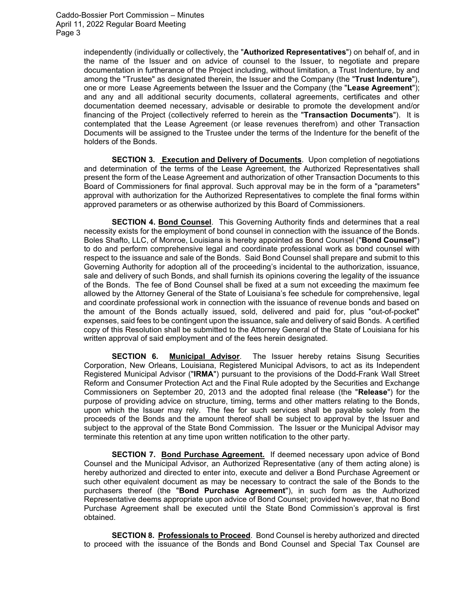independently (individually or collectively, the "**Authorized Representatives**") on behalf of, and in the name of the Issuer and on advice of counsel to the Issuer, to negotiate and prepare documentation in furtherance of the Project including, without limitation, a Trust Indenture, by and among the "Trustee" as designated therein, the Issuer and the Company (the "**Trust Indenture**"), one or more Lease Agreements between the Issuer and the Company (the "**Lease Agreement**"); and any and all additional security documents, collateral agreements, certificates and other documentation deemed necessary, advisable or desirable to promote the development and/or financing of the Project (collectively referred to herein as the "**Transaction Documents**"). It is contemplated that the Lease Agreement (or lease revenues therefrom) and other Transaction Documents will be assigned to the Trustee under the terms of the Indenture for the benefit of the holders of the Bonds.

**SECTION 3. Execution and Delivery of Documents**. Upon completion of negotiations and determination of the terms of the Lease Agreement, the Authorized Representatives shall present the form of the Lease Agreement and authorization of other Transaction Documents to this Board of Commissioners for final approval. Such approval may be in the form of a "parameters" approval with authorization for the Authorized Representatives to complete the final forms within approved parameters or as otherwise authorized by this Board of Commissioners.

**SECTION 4. Bond Counsel**. This Governing Authority finds and determines that a real necessity exists for the employment of bond counsel in connection with the issuance of the Bonds. Boles Shafto, LLC, of Monroe, Louisiana is hereby appointed as Bond Counsel ("**Bond Counsel**") to do and perform comprehensive legal and coordinate professional work as bond counsel with respect to the issuance and sale of the Bonds. Said Bond Counsel shall prepare and submit to this Governing Authority for adoption all of the proceeding's incidental to the authorization, issuance, sale and delivery of such Bonds, and shall furnish its opinions covering the legality of the issuance of the Bonds. The fee of Bond Counsel shall be fixed at a sum not exceeding the maximum fee allowed by the Attorney General of the State of Louisiana's fee schedule for comprehensive, legal and coordinate professional work in connection with the issuance of revenue bonds and based on the amount of the Bonds actually issued, sold, delivered and paid for, plus "out-of-pocket" expenses, said fees to be contingent upon the issuance, sale and delivery of said Bonds. A certified copy of this Resolution shall be submitted to the Attorney General of the State of Louisiana for his written approval of said employment and of the fees herein designated.

**SECTION 6. Municipal Advisor**. The Issuer hereby retains Sisung Securities Corporation, New Orleans, Louisiana, Registered Municipal Advisors, to act as its Independent Registered Municipal Advisor ("**IRMA**") pursuant to the provisions of the Dodd-Frank Wall Street Reform and Consumer Protection Act and the Final Rule adopted by the Securities and Exchange Commissioners on September 20, 2013 and the adopted final release (the "**Release**") for the purpose of providing advice on structure, timing, terms and other matters relating to the Bonds, upon which the Issuer may rely. The fee for such services shall be payable solely from the proceeds of the Bonds and the amount thereof shall be subject to approval by the Issuer and subject to the approval of the State Bond Commission. The Issuer or the Municipal Advisor may terminate this retention at any time upon written notification to the other party.

**SECTION 7. Bond Purchase Agreement.** If deemed necessary upon advice of Bond Counsel and the Municipal Advisor, an Authorized Representative (any of them acting alone) is hereby authorized and directed to enter into, execute and deliver a Bond Purchase Agreement or such other equivalent document as may be necessary to contract the sale of the Bonds to the purchasers thereof (the "**Bond Purchase Agreement**"), in such form as the Authorized Representative deems appropriate upon advice of Bond Counsel; provided however, that no Bond Purchase Agreement shall be executed until the State Bond Commission's approval is first obtained.

**SECTION 8. Professionals to Proceed**. Bond Counsel is hereby authorized and directed to proceed with the issuance of the Bonds and Bond Counsel and Special Tax Counsel are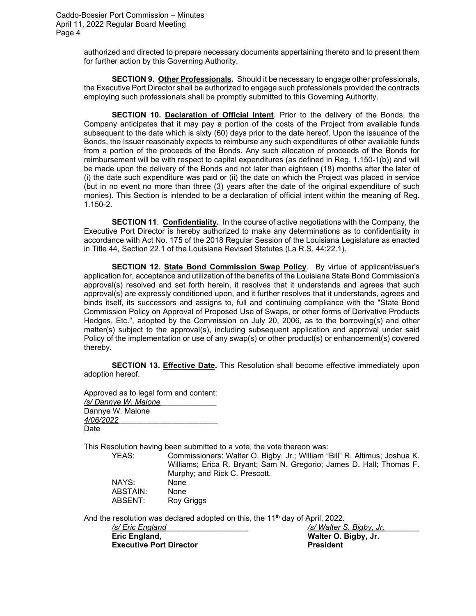Caddo-Bossier Port Commission – Minutes April 11, 2022 Regular Board Meeting Page 4

> authorized and directed to prepare necessary documents appertaining thereto and to present them for further action by this Governing Authority.

> **SECTION 9. Other Professionals.** Should it be necessary to engage other professionals, the Executive Port Director shall be authorized to engage such professionals provided the contracts employing such professionals shall be promptly submitted to this Governing Authority.

> **SECTION 10. Declaration of Official Intent**. Prior to the delivery of the Bonds, the Company anticipates that it may pay a portion of the costs of the Project from available funds subsequent to the date which is sixty (60) days prior to the date hereof. Upon the issuance of the Bonds, the Issuer reasonably expects to reimburse any such expenditures of other available funds from a portion of the proceeds of the Bonds. Any such allocation of proceeds of the Bonds for reimbursement will be with respect to capital expenditures (as defined in Reg. 1.150-1(b)) and will be made upon the delivery of the Bonds and not later than eighteen (18) months after the later of (i) the date such expenditure was paid or (ii) the date on which the Project was placed in service (but in no event no more than three (3) years after the date of the original expenditure of such monies). This Section is intended to be a declaration of official intent within the meaning of Reg. 1.150-2.

> **SECTION 11**. **Confidentiality.** In the course of active negotiations with the Company, the Executive Port Director is hereby authorized to make any determinations as to confidentiality in accordance with Act No. 175 of the 2018 Regular Session of the Louisiana Legislature as enacted in Title 44, Section 22.1 of the Louisiana Revised Statutes (La R.S. 44:22.1).

> **SECTION 12. State Bond Commission Swap Policy**. By virtue of applicant/issuer's application for, acceptance and utilization of the benefits of the Louisiana State Bond Commission's approval(s) resolved and set forth herein, it resolves that it understands and agrees that such approval(s) are expressly conditioned upon, and it further resolves that it understands, agrees and binds itself, its successors and assigns to, full and continuing compliance with the "State Bond Commission Policy on Approval of Proposed Use of Swaps, or other forms of Derivative Products Hedges, Etc.", adopted by the Commission on July 20, 2006, as to the borrowing(s) and other matter(s) subject to the approval(s), including subsequent application and approval under said Policy of the implementation or use of any swap(s) or other product(s) or enhancement(s) covered thereby.

> **SECTION 13. Effective Date.** This Resolution shall become effective immediately upon adoption hereof.

Approved as to legal form and content: */s/ Dannye W. Malone*\_\_\_\_\_\_\_\_\_\_\_\_\_ Dannye W. Malone *4/06/2022*\_\_\_\_\_\_\_\_\_\_\_\_\_\_\_\_\_\_\_\_\_\_\_ Date

This Resolution having been submitted to a vote, the vote thereon was:

YEAS: Commissioners: Walter O. Bigby, Jr.; William "Bill" R. Altimus; Joshua K. Williams; Erica R. Bryant; Sam N. Gregorio; James D. Hall; Thomas F. Murphy; and Rick C. Prescott. NAYS: None ABSTAIN: None<br>ABSENT: Roy G Roy Griggs

And the resolution was declared adopted on this, the 11<sup>th</sup> day of April, 2022.

| /s/ Eric England               | /s/Walter S. Bigby, Jr. |
|--------------------------------|-------------------------|
| Eric England,                  | Walter O. Bigby, Jr.    |
| <b>Executive Port Director</b> | <b>President</b>        |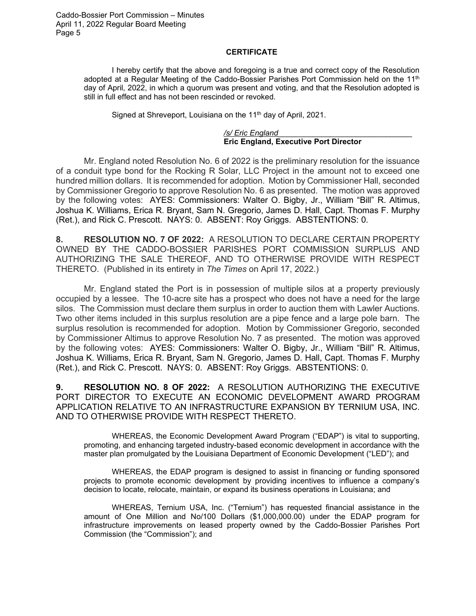## **CERTIFICATE**

I hereby certify that the above and foregoing is a true and correct copy of the Resolution adopted at a Regular Meeting of the Caddo-Bossier Parishes Port Commission held on the 11<sup>th</sup> day of April, 2022, in which a quorum was present and voting, and that the Resolution adopted is still in full effect and has not been rescinded or revoked.

Signed at Shreveport, Louisiana on the 11<sup>th</sup> day of April, 2021.

*/s/ Eric England*\_\_\_\_\_\_\_\_\_\_\_\_\_\_\_\_\_\_\_\_\_\_\_\_\_\_\_\_\_\_\_ **Eric England, Executive Port Director**

Mr. England noted Resolution No. 6 of 2022 is the preliminary resolution for the issuance of a conduit type bond for the Rocking R Solar, LLC Project in the amount not to exceed one hundred million dollars. It is recommended for adoption. Motion by Commissioner Hall, seconded by Commissioner Gregorio to approve Resolution No. 6 as presented. The motion was approved by the following votes: AYES: Commissioners: Walter O. Bigby, Jr., William "Bill" R. Altimus, Joshua K. Williams, Erica R. Bryant, Sam N. Gregorio, James D. Hall, Capt. Thomas F. Murphy (Ret.), and Rick C. Prescott. NAYS: 0. ABSENT: Roy Griggs. ABSTENTIONS: 0.

**8. RESOLUTION NO. 7 OF 2022:** A RESOLUTION TO DECLARE CERTAIN PROPERTY OWNED BY THE CADDO-BOSSIER PARISHES PORT COMMISSION SURPLUS AND AUTHORIZING THE SALE THEREOF, AND TO OTHERWISE PROVIDE WITH RESPECT THERETO. (Published in its entirety in *The Times* on April 17, 2022.)

Mr. England stated the Port is in possession of multiple silos at a property previously occupied by a lessee. The 10-acre site has a prospect who does not have a need for the large silos. The Commission must declare them surplus in order to auction them with Lawler Auctions. Two other items included in this surplus resolution are a pipe fence and a large pole barn. The surplus resolution is recommended for adoption. Motion by Commissioner Gregorio, seconded by Commissioner Altimus to approve Resolution No. 7 as presented. The motion was approved by the following votes: AYES: Commissioners: Walter O. Bigby, Jr., William "Bill" R. Altimus, Joshua K. Williams, Erica R. Bryant, Sam N. Gregorio, James D. Hall, Capt. Thomas F. Murphy (Ret.), and Rick C. Prescott. NAYS: 0. ABSENT: Roy Griggs. ABSTENTIONS: 0.

**9. RESOLUTION NO. 8 OF 2022:** A RESOLUTION AUTHORIZING THE EXECUTIVE PORT DIRECTOR TO EXECUTE AN ECONOMIC DEVELOPMENT AWARD PROGRAM APPLICATION RELATIVE TO AN INFRASTRUCTURE EXPANSION BY TERNIUM USA, INC. AND TO OTHERWISE PROVIDE WITH RESPECT THERETO.

WHEREAS, the Economic Development Award Program ("EDAP") is vital to supporting, promoting, and enhancing targeted industry-based economic development in accordance with the master plan promulgated by the Louisiana Department of Economic Development ("LED"); and

WHEREAS, the EDAP program is designed to assist in financing or funding sponsored projects to promote economic development by providing incentives to influence a company's decision to locate, relocate, maintain, or expand its business operations in Louisiana; and

WHEREAS, Ternium USA, Inc. ("Ternium") has requested financial assistance in the amount of One Million and No/100 Dollars (\$1,000,000.00) under the EDAP program for infrastructure improvements on leased property owned by the Caddo-Bossier Parishes Port Commission (the "Commission"); and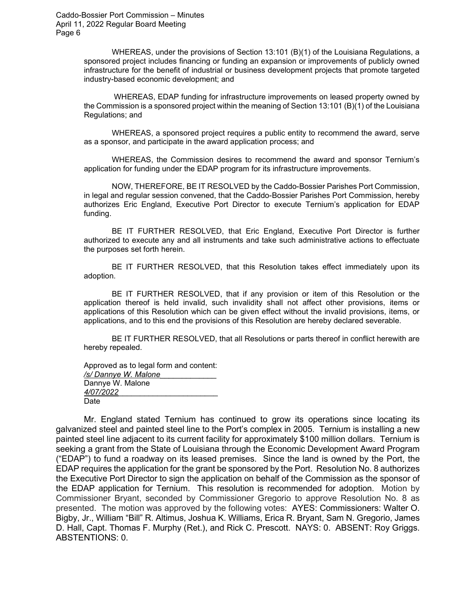WHEREAS, under the provisions of Section 13:101 (B)(1) of the Louisiana Regulations, a sponsored project includes financing or funding an expansion or improvements of publicly owned infrastructure for the benefit of industrial or business development projects that promote targeted industry-based economic development; and

WHEREAS, EDAP funding for infrastructure improvements on leased property owned by the Commission is a sponsored project within the meaning of Section 13:101 (B)(1) of the Louisiana Regulations; and

WHEREAS, a sponsored project requires a public entity to recommend the award, serve as a sponsor, and participate in the award application process; and

WHEREAS, the Commission desires to recommend the award and sponsor Ternium's application for funding under the EDAP program for its infrastructure improvements.

NOW, THEREFORE, BE IT RESOLVED by the Caddo-Bossier Parishes Port Commission, in legal and regular session convened, that the Caddo-Bossier Parishes Port Commission, hereby authorizes Eric England, Executive Port Director to execute Ternium's application for EDAP funding.

BE IT FURTHER RESOLVED, that Eric England, Executive Port Director is further authorized to execute any and all instruments and take such administrative actions to effectuate the purposes set forth herein.

BE IT FURTHER RESOLVED, that this Resolution takes effect immediately upon its adoption.

BE IT FURTHER RESOLVED, that if any provision or item of this Resolution or the application thereof is held invalid, such invalidity shall not affect other provisions, items or applications of this Resolution which can be given effect without the invalid provisions, items, or applications, and to this end the provisions of this Resolution are hereby declared severable.

BE IT FURTHER RESOLVED, that all Resolutions or parts thereof in conflict herewith are hereby repealed.

Approved as to legal form and content: */s/ Dannye W. Malone*\_\_\_\_\_\_\_\_\_\_\_\_\_ Dannye W. Malone *4/07/2022*\_\_\_\_\_\_\_\_\_\_\_\_\_\_\_\_\_\_\_\_\_\_\_ Date

Mr. England stated Ternium has continued to grow its operations since locating its galvanized steel and painted steel line to the Port's complex in 2005. Ternium is installing a new painted steel line adjacent to its current facility for approximately \$100 million dollars. Ternium is seeking a grant from the State of Louisiana through the Economic Development Award Program ("EDAP") to fund a roadway on its leased premises. Since the land is owned by the Port, the EDAP requires the application for the grant be sponsored by the Port. Resolution No. 8 authorizes the Executive Port Director to sign the application on behalf of the Commission as the sponsor of the EDAP application for Ternium. This resolution is recommended for adoption. Motion by Commissioner Bryant, seconded by Commissioner Gregorio to approve Resolution No. 8 as presented. The motion was approved by the following votes: AYES: Commissioners: Walter O. Bigby, Jr., William "Bill" R. Altimus, Joshua K. Williams, Erica R. Bryant, Sam N. Gregorio, James D. Hall, Capt. Thomas F. Murphy (Ret.), and Rick C. Prescott. NAYS: 0. ABSENT: Roy Griggs. ABSTENTIONS: 0.